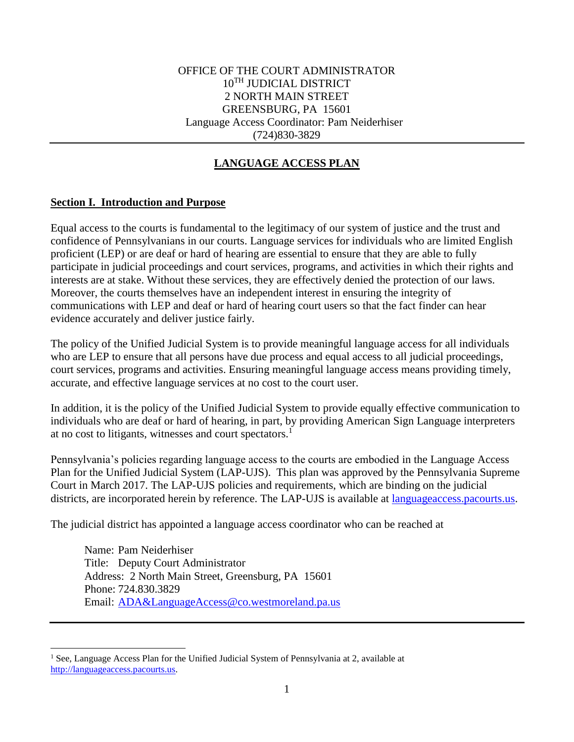# **LANGUAGE ACCESS PLAN**

#### **Section I. Introduction and Purpose**

 $\overline{a}$ 

Equal access to the courts is fundamental to the legitimacy of our system of justice and the trust and confidence of Pennsylvanians in our courts. Language services for individuals who are limited English proficient (LEP) or are deaf or hard of hearing are essential to ensure that they are able to fully participate in judicial proceedings and court services, programs, and activities in which their rights and interests are at stake. Without these services, they are effectively denied the protection of our laws. Moreover, the courts themselves have an independent interest in ensuring the integrity of communications with LEP and deaf or hard of hearing court users so that the fact finder can hear evidence accurately and deliver justice fairly.

The policy of the Unified Judicial System is to provide meaningful language access for all individuals who are LEP to ensure that all persons have due process and equal access to all judicial proceedings, court services, programs and activities. Ensuring meaningful language access means providing timely, accurate, and effective language services at no cost to the court user.

In addition, it is the policy of the Unified Judicial System to provide equally effective communication to individuals who are deaf or hard of hearing, in part, by providing American Sign Language interpreters at no cost to litigants, witnesses and court spectators.<sup>1</sup>

Pennsylvania's policies regarding language access to the courts are embodied in the Language Access Plan for the Unified Judicial System (LAP-UJS). This plan was approved by the Pennsylvania Supreme Court in March 2017. The LAP-UJS policies and requirements, which are binding on the judicial districts, are incorporated herein by reference. The LAP-UJS is available at [languageaccess.pacourts.us.](http://www.pacourts.us/judicial-administration/court-programs/interpreter-program)

The judicial district has appointed a language access coordinator who can be reached at

Name: Pam Neiderhiser Title: Deputy Court Administrator Address: 2 North Main Street, Greensburg, PA 15601 Phone: 724.830.3829 Email: [ADA&LanguageAccess@co.westmoreland.pa.us](mailto:ADA&LanguageAccess@co.westmoreland.pa.us)

<sup>&</sup>lt;sup>1</sup> See, Language Access Plan for the Unified Judicial System of Pennsylvania at 2, available at [http://languageaccess.pacourts.us.](http://languageaccess.pacourts.us/)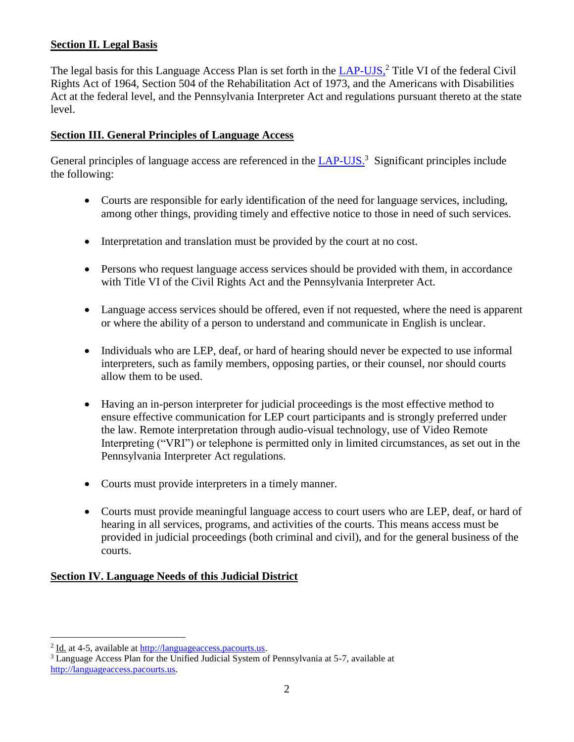# **Section II. Legal Basis**

The legal basis for this Language Access Plan is set forth in the [LAP-UJS,](http://www.pacourts.us/assets/files/setting-5486/file-5972.pdf?cb=11e5cd)<sup>2</sup> Title VI of the federal Civil Rights Act of 1964, Section 504 of the Rehabilitation Act of 1973, and the Americans with Disabilities Act at the federal level, and the Pennsylvania Interpreter Act and regulations pursuant thereto at the state level.

## **Section III. General Principles of Language Access**

General principles of language access are referenced in the **LAP-UJS**.<sup>3</sup> Significant principles include the following:

- Courts are responsible for early identification of the need for language services, including, among other things, providing timely and effective notice to those in need of such services.
- Interpretation and translation must be provided by the court at no cost.
- Persons who request language access services should be provided with them, in accordance with Title VI of the Civil Rights Act and the Pennsylvania Interpreter Act.
- Language access services should be offered, even if not requested, where the need is apparent or where the ability of a person to understand and communicate in English is unclear.
- Individuals who are LEP, deaf, or hard of hearing should never be expected to use informal interpreters, such as family members, opposing parties, or their counsel, nor should courts allow them to be used.
- Having an in-person interpreter for judicial proceedings is the most effective method to ensure effective communication for LEP court participants and is strongly preferred under the law. Remote interpretation through audio-visual technology, use of Video Remote Interpreting ("VRI") or telephone is permitted only in limited circumstances, as set out in the Pennsylvania Interpreter Act regulations.
- Courts must provide interpreters in a timely manner.
- Courts must provide meaningful language access to court users who are LEP, deaf, or hard of hearing in all services, programs, and activities of the courts. This means access must be provided in judicial proceedings (both criminal and civil), and for the general business of the courts.

#### **Section IV. Language Needs of this Judicial District**

<sup>&</sup>lt;sup>2</sup> Id. at 4-5, available at [http://languageaccess.pacourts.us.](http://languageaccess.pacourts.us/)

<sup>3</sup> Language Access Plan for the Unified Judicial System of Pennsylvania at 5-7, available at [http://languageaccess.pacourts.us.](http://languageaccess.pacourts.us/)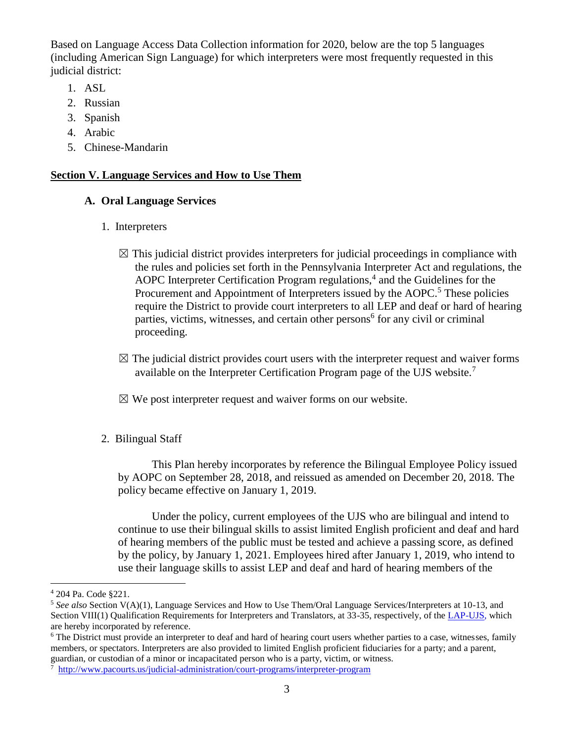Based on Language Access Data Collection information for 2020, below are the top 5 languages (including American Sign Language) for which interpreters were most frequently requested in this judicial district:

- 1. ASL
- 2. Russian
- 3. Spanish
- 4. Arabic
- 5. Chinese-Mandarin

#### **Section V. Language Services and How to Use Them**

#### **A. Oral Language Services**

- 1. Interpreters
	- $\boxtimes$  This judicial district provides interpreters for judicial proceedings in compliance with the rules and policies set forth in the Pennsylvania Interpreter Act and regulations, the AOPC Interpreter Certification Program regulations, $4$  and the Guidelines for the Procurement and Appointment of Interpreters issued by the AOPC.<sup>5</sup> These policies require the District to provide court interpreters to all LEP and deaf or hard of hearing parties, victims, witnesses, and certain other persons<sup>6</sup> for any civil or criminal proceeding.
	- $\boxtimes$  The judicial district provides court users with the interpreter request and waiver forms available on the Interpreter Certification Program page of the UJS website.<sup>7</sup>
	- $\boxtimes$  We post interpreter request and waiver forms on our website.
- 2. Bilingual Staff

This Plan hereby incorporates by reference the Bilingual Employee Policy issued by AOPC on September 28, 2018, and reissued as amended on December 20, 2018. The policy became effective on January 1, 2019.

Under the policy, current employees of the UJS who are bilingual and intend to continue to use their bilingual skills to assist limited English proficient and deaf and hard of hearing members of the public must be tested and achieve a passing score, as defined by the policy, by January 1, 2021. Employees hired after January 1, 2019, who intend to use their language skills to assist LEP and deaf and hard of hearing members of the

<sup>4</sup> 204 Pa. Code §221.

<sup>5</sup> *See also* Section V(A)(1), Language Services and How to Use Them/Oral Language Services/Interpreters at 10-13, and Section VIII(1) Qualification Requirements for Interpreters and Translators, at 33-35, respectively, of th[e LAP-UJS,](http://www.pacourts.us/assets/files/setting-5486/file-5972.pdf?cb=11e5cd) which are hereby incorporated by reference.

<sup>&</sup>lt;sup>6</sup> The District must provide an interpreter to deaf and hard of hearing court users whether parties to a case, witnesses, family members, or spectators. Interpreters are also provided to limited English proficient fiduciaries for a party; and a parent, guardian, or custodian of a minor or incapacitated person who is a party, victim, or witness.

<sup>7</sup> <http://www.pacourts.us/judicial-administration/court-programs/interpreter-program>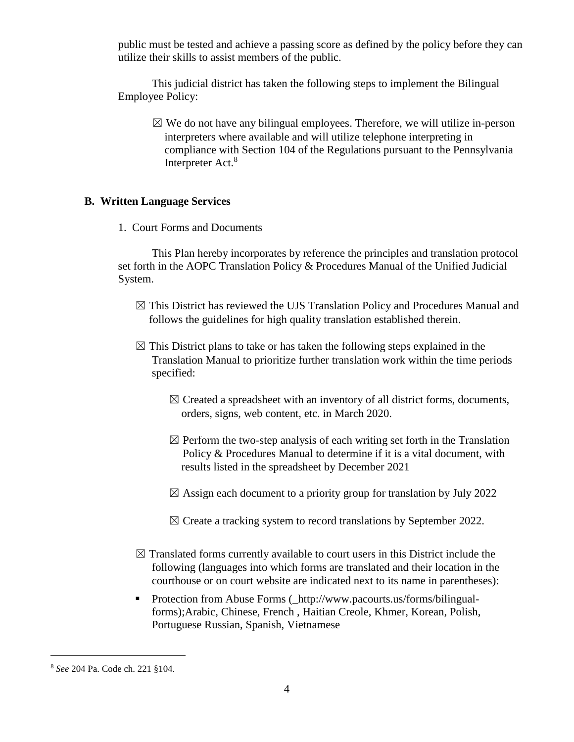public must be tested and achieve a passing score as defined by the policy before they can utilize their skills to assist members of the public.

This judicial district has taken the following steps to implement the Bilingual Employee Policy:

 $\boxtimes$  We do not have any bilingual employees. Therefore, we will utilize in-person interpreters where available and will utilize telephone interpreting in compliance with Section 104 of the Regulations pursuant to the Pennsylvania Interpreter Act.<sup>8</sup>

#### **B. Written Language Services**

1. Court Forms and Documents

This Plan hereby incorporates by reference the principles and translation protocol set forth in the AOPC Translation Policy & Procedures Manual of the Unified Judicial System.

- $\boxtimes$  This District has reviewed the UJS Translation Policy and Procedures Manual and follows the guidelines for high quality translation established therein.
- $\boxtimes$  This District plans to take or has taken the following steps explained in the Translation Manual to prioritize further translation work within the time periods specified:
	- $\boxtimes$  Created a spreadsheet with an inventory of all district forms, documents, orders, signs, web content, etc. in March 2020.
	- $\boxtimes$  Perform the two-step analysis of each writing set forth in the Translation Policy & Procedures Manual to determine if it is a vital document, with results listed in the spreadsheet by December 2021
	- $\boxtimes$  Assign each document to a priority group for translation by July 2022
	- $\boxtimes$  Create a tracking system to record translations by September 2022.
- $\boxtimes$  Translated forms currently available to court users in this District include the following (languages into which forms are translated and their location in the courthouse or on court website are indicated next to its name in parentheses):
- Protection from Abuse Forms ( http://www.pacourts.us/forms/bilingualforms);Arabic, Chinese, French , Haitian Creole, Khmer, Korean, Polish, Portuguese Russian, Spanish, Vietnamese

<sup>8</sup> *See* 204 Pa. Code ch. 221 §104.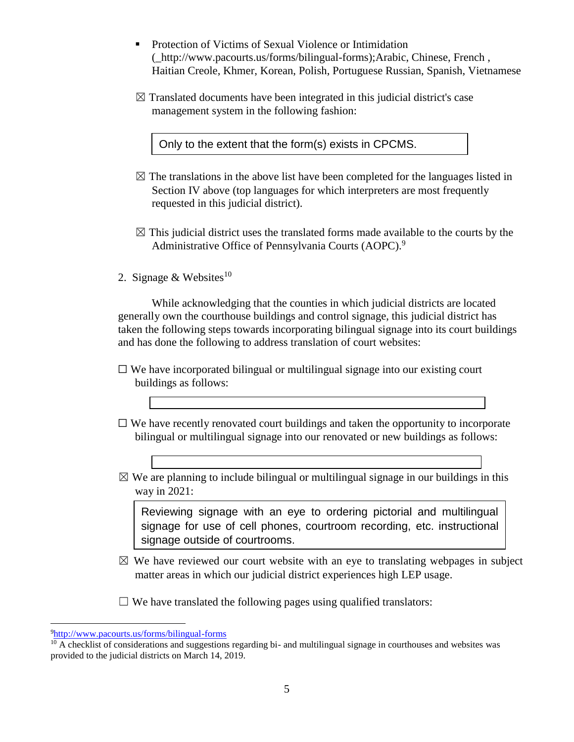- Protection of Victims of Sexual Violence or Intimidation (\_http://www.pacourts.us/forms/bilingual-forms);Arabic, Chinese, French , Haitian Creole, Khmer, Korean, Polish, Portuguese Russian, Spanish, Vietnamese
- $\boxtimes$  Translated documents have been integrated in this judicial district's case management system in the following fashion:

Only to the extent that the form(s) exists in CPCMS.

- $\boxtimes$  The translations in the above list have been completed for the languages listed in Section IV above (top languages for which interpreters are most frequently requested in this judicial district).
- $\boxtimes$  This judicial district uses the translated forms made available to the courts by the Administrative Office of Pennsylvania Courts (AOPC).<sup>9</sup>
- 2. Signage & Websites<sup>10</sup>

While acknowledging that the counties in which judicial districts are located generally own the courthouse buildings and control signage, this judicial district has taken the following steps towards incorporating bilingual signage into its court buildings and has done the following to address translation of court websites:

- $\Box$  We have incorporated bilingual or multilingual signage into our existing court buildings as follows:
- $\Box$  We have recently renovated court buildings and taken the opportunity to incorporate bilingual or multilingual signage into our renovated or new buildings as follows:
- $\boxtimes$  We are planning to include bilingual or multilingual signage in our buildings in this way in 2021:

Reviewing signage with an eye to ordering pictorial and multilingual signage for use of cell phones, courtroom recording, etc. instructional signage outside of courtrooms.

- $\boxtimes$  We have reviewed our court website with an eye to translating webpages in subject matter areas in which our judicial district experiences high LEP usage.
- $\Box$  We have translated the following pages using qualified translators:

<sup>9</sup><http://www.pacourts.us/forms/bilingual-forms>

 $10$  A checklist of considerations and suggestions regarding bi- and multilingual signage in courthouses and websites was provided to the judicial districts on March 14, 2019.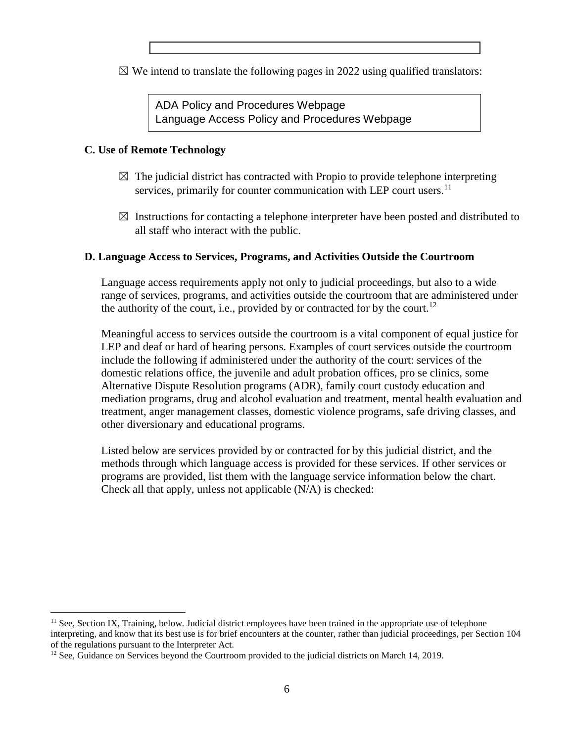$\boxtimes$  We intend to translate the following pages in 2022 using qualified translators:

ADA Policy and Procedures Webpage Language Access Policy and Procedures Webpage

## **C. Use of Remote Technology**

 $\overline{a}$ 

- $\boxtimes$  The judicial district has contracted with Propio to provide telephone interpreting services, primarily for counter communication with LEP court users.<sup>11</sup>
- $\boxtimes$  Instructions for contacting a telephone interpreter have been posted and distributed to all staff who interact with the public.

## **D. Language Access to Services, Programs, and Activities Outside the Courtroom**

Language access requirements apply not only to judicial proceedings, but also to a wide range of services, programs, and activities outside the courtroom that are administered under the authority of the court, i.e., provided by or contracted for by the court.<sup>12</sup>

Meaningful access to services outside the courtroom is a vital component of equal justice for LEP and deaf or hard of hearing persons. Examples of court services outside the courtroom include the following if administered under the authority of the court: services of the domestic relations office, the juvenile and adult probation offices, pro se clinics, some Alternative Dispute Resolution programs (ADR), family court custody education and mediation programs, drug and alcohol evaluation and treatment, mental health evaluation and treatment, anger management classes, domestic violence programs, safe driving classes, and other diversionary and educational programs.

Listed below are services provided by or contracted for by this judicial district, and the methods through which language access is provided for these services. If other services or programs are provided, list them with the language service information below the chart. Check all that apply, unless not applicable (N/A) is checked:

 $<sup>11</sup>$  See, Section IX, Training, below. Judicial district employees have been trained in the appropriate use of telephone</sup> interpreting, and know that its best use is for brief encounters at the counter, rather than judicial proceedings, per Section 104 of the regulations pursuant to the Interpreter Act.

<sup>&</sup>lt;sup>12</sup> See, Guidance on Services beyond the Courtroom provided to the judicial districts on March 14, 2019.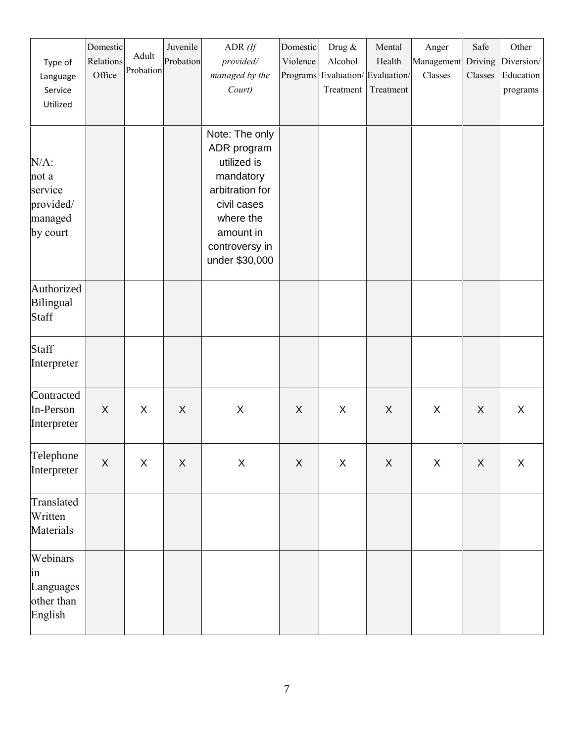| Type of<br>Language<br>Service<br>Utilized                      | Domestic<br>Relations<br>Office | Adult<br>Probation | Juvenile<br>Probation | ADR $(ff)$<br>provided/<br>managed by the<br>Court)                                                                                                       | Domestic<br>Violence<br>Programs | Drug &<br>Alcohol<br>Evaluation/Evaluation/<br>Treatment | Mental<br>Health<br>Treatment | Anger<br>Management<br>Classes | Safe<br>Driving<br>Classes | Other<br>Diversion/<br>Education<br>programs |
|-----------------------------------------------------------------|---------------------------------|--------------------|-----------------------|-----------------------------------------------------------------------------------------------------------------------------------------------------------|----------------------------------|----------------------------------------------------------|-------------------------------|--------------------------------|----------------------------|----------------------------------------------|
| $N/A$ :<br>not a<br>service<br>provided/<br>managed<br>by court |                                 |                    |                       | Note: The only<br>ADR program<br>utilized is<br>mandatory<br>arbitration for<br>civil cases<br>where the<br>amount in<br>controversy in<br>under \$30,000 |                                  |                                                          |                               |                                |                            |                                              |
| Authorized<br>Bilingual<br><b>Staff</b>                         |                                 |                    |                       |                                                                                                                                                           |                                  |                                                          |                               |                                |                            |                                              |
| Staff<br>Interpreter                                            |                                 |                    |                       |                                                                                                                                                           |                                  |                                                          |                               |                                |                            |                                              |
| Contracted<br>In-Person<br>Interpreter                          | X                               | X                  | X                     | X                                                                                                                                                         | X                                | $\times$                                                 | X                             | X                              | $\boldsymbol{\mathsf{X}}$  | X                                            |
| Telephone<br>Interpreter                                        | $\overline{\mathsf{X}}$         | $\sf X$            | $\sf X$               | $\sf X$                                                                                                                                                   | $\mathsf X$                      | $\pmb{\times}$                                           | $\sf X$                       | $\mathsf X$                    | $\mathsf X$                | $\mathsf X$                                  |
| Translated<br>Written<br>Materials                              |                                 |                    |                       |                                                                                                                                                           |                                  |                                                          |                               |                                |                            |                                              |
| Webinars<br>$\sin$<br>Languages<br>other than<br>English        |                                 |                    |                       |                                                                                                                                                           |                                  |                                                          |                               |                                |                            |                                              |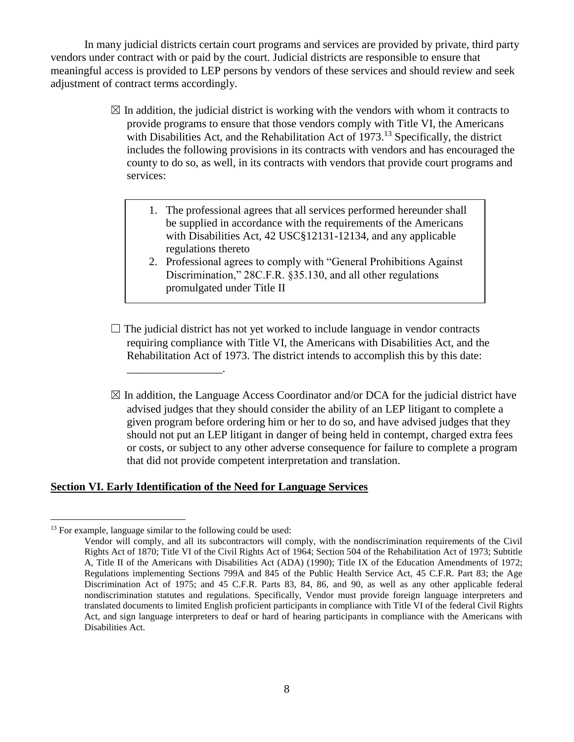In many judicial districts certain court programs and services are provided by private, third party vendors under contract with or paid by the court. Judicial districts are responsible to ensure that meaningful access is provided to LEP persons by vendors of these services and should review and seek adjustment of contract terms accordingly.

- $\boxtimes$  In addition, the judicial district is working with the vendors with whom it contracts to provide programs to ensure that those vendors comply with Title VI, the Americans with Disabilities Act, and the Rehabilitation Act of 1973.<sup>13</sup> Specifically, the district includes the following provisions in its contracts with vendors and has encouraged the county to do so, as well, in its contracts with vendors that provide court programs and services:
	- 1. The professional agrees that all services performed hereunder shall be supplied in accordance with the requirements of the Americans with Disabilities Act, 42 USC§12131-12134, and any applicable regulations thereto
	- 2. Professional agrees to comply with "General Prohibitions Against Discrimination," 28C.F.R. §35.130, and all other regulations promulgated under Title II
- $\Box$  The judicial district has not yet worked to include language in vendor contracts requiring compliance with Title VI, the Americans with Disabilities Act, and the Rehabilitation Act of 1973. The district intends to accomplish this by this date:
- $\boxtimes$  In addition, the Language Access Coordinator and/or DCA for the judicial district have advised judges that they should consider the ability of an LEP litigant to complete a given program before ordering him or her to do so, and have advised judges that they should not put an LEP litigant in danger of being held in contempt, charged extra fees or costs, or subject to any other adverse consequence for failure to complete a program that did not provide competent interpretation and translation.

#### **Section VI. Early Identification of the Need for Language Services**

 $\overline{a}$ 

\_\_\_\_\_\_\_\_\_\_\_\_\_\_\_\_\_.

 $13$  For example, language similar to the following could be used:

Vendor will comply, and all its subcontractors will comply, with the nondiscrimination requirements of the Civil Rights Act of 1870; Title VI of the Civil Rights Act of 1964; Section 504 of the Rehabilitation Act of 1973; Subtitle A, Title II of the Americans with Disabilities Act (ADA) (1990); Title IX of the Education Amendments of 1972; Regulations implementing Sections 799A and 845 of the Public Health Service Act, 45 C.F.R. Part 83; the Age Discrimination Act of 1975; and 45 C.F.R. Parts 83, 84, 86, and 90, as well as any other applicable federal nondiscrimination statutes and regulations. Specifically, Vendor must provide foreign language interpreters and translated documents to limited English proficient participants in compliance with Title VI of the federal Civil Rights Act, and sign language interpreters to deaf or hard of hearing participants in compliance with the Americans with Disabilities Act.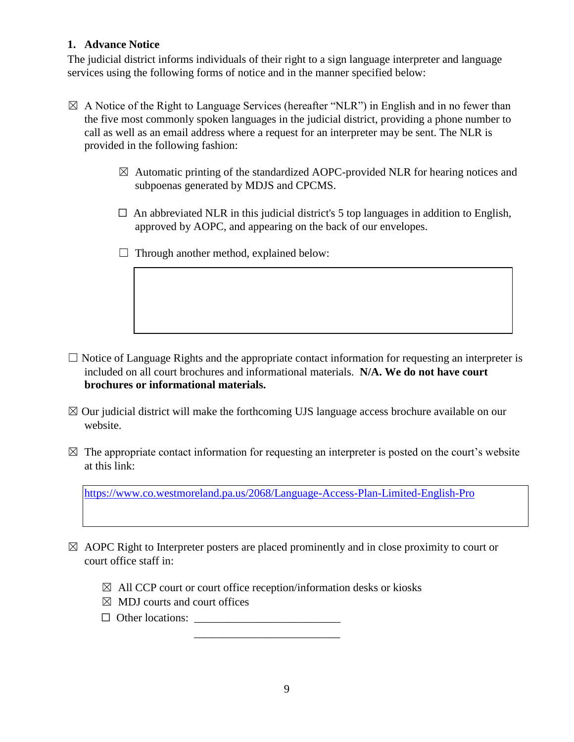## **1. Advance Notice**

The judicial district informs individuals of their right to a sign language interpreter and language services using the following forms of notice and in the manner specified below:

- $\boxtimes$  A Notice of the Right to Language Services (hereafter "NLR") in English and in no fewer than the five most commonly spoken languages in the judicial district, providing a phone number to call as well as an email address where a request for an interpreter may be sent. The NLR is provided in the following fashion:
	- $\boxtimes$  Automatic printing of the standardized AOPC-provided NLR for hearing notices and subpoenas generated by MDJS and CPCMS.
	- $\Box$  An abbreviated NLR in this judicial district's 5 top languages in addition to English, approved by AOPC, and appearing on the back of our envelopes.
	- $\Box$  Through another method, explained below:

- $\Box$  Notice of Language Rights and the appropriate contact information for requesting an interpreter is included on all court brochures and informational materials. **N/A. We do not have court brochures or informational materials.**
- $\boxtimes$  Our judicial district will make the forthcoming UJS language access brochure available on our website.
- $\boxtimes$  The appropriate contact information for requesting an interpreter is posted on the court's website at this link:

<https://www.co.westmoreland.pa.us/2068/Language-Access-Plan-Limited-English-Pro>

- $\boxtimes$  AOPC Right to Interpreter posters are placed prominently and in close proximity to court or court office staff in:
	- $\boxtimes$  All CCP court or court office reception/information desks or kiosks

 $\overline{\phantom{a}}$  , which is the contract of the contract of the contract of the contract of the contract of the contract of the contract of the contract of the contract of the contract of the contract of the contract of the co

- $\boxtimes$  MDJ courts and court offices
- $\Box$  Other locations: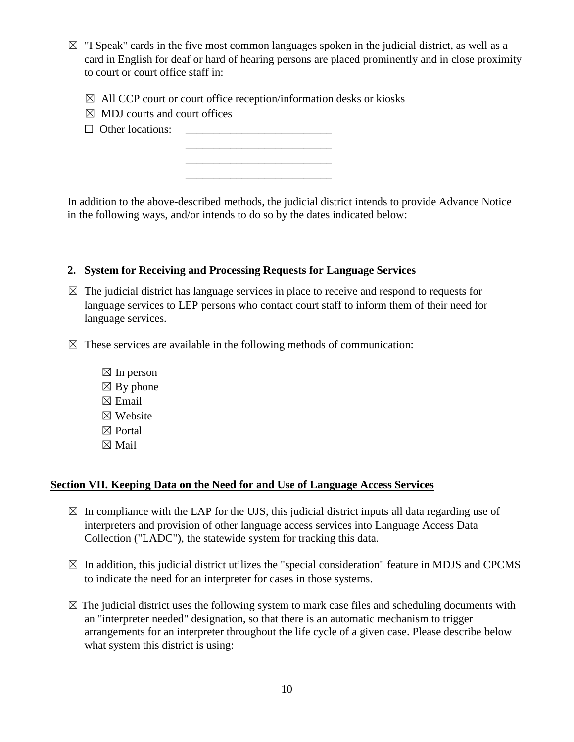- $\boxtimes$  "I Speak" cards in the five most common languages spoken in the judicial district, as well as a card in English for deaf or hard of hearing persons are placed prominently and in close proximity to court or court office staff in:
	- $\boxtimes$  All CCP court or court office reception/information desks or kiosks

 $\frac{1}{2}$  , and the set of the set of the set of the set of the set of the set of the set of the set of the set of the set of the set of the set of the set of the set of the set of the set of the set of the set of the set  $\frac{1}{2}$  ,  $\frac{1}{2}$  ,  $\frac{1}{2}$  ,  $\frac{1}{2}$  ,  $\frac{1}{2}$  ,  $\frac{1}{2}$  ,  $\frac{1}{2}$  ,  $\frac{1}{2}$  ,  $\frac{1}{2}$  ,  $\frac{1}{2}$  ,  $\frac{1}{2}$  ,  $\frac{1}{2}$  ,  $\frac{1}{2}$  ,  $\frac{1}{2}$  ,  $\frac{1}{2}$  ,  $\frac{1}{2}$  ,  $\frac{1}{2}$  ,  $\frac{1}{2}$  ,  $\frac{1$ 

\_\_\_\_\_\_\_\_\_\_\_\_\_\_\_\_\_\_\_\_\_\_\_\_\_\_

- $\boxtimes$  MDJ courts and court offices
- $\Box$  Other locations:

In addition to the above-described methods, the judicial district intends to provide Advance Notice in the following ways, and/or intends to do so by the dates indicated below:



- $\boxtimes$  The judicial district has language services in place to receive and respond to requests for language services to LEP persons who contact court staff to inform them of their need for language services.
- $\boxtimes$  These services are available in the following methods of communication:
	- $\boxtimes$  In person  $\boxtimes$  By phone  $\boxtimes$  Email ☒ Website ☒ Portal ☒ Mail

#### **Section VII. Keeping Data on the Need for and Use of Language Access Services**

- $\boxtimes$  In compliance with the LAP for the UJS, this judicial district inputs all data regarding use of interpreters and provision of other language access services into Language Access Data Collection ("LADC"), the statewide system for tracking this data.
- $\boxtimes$  In addition, this judicial district utilizes the "special consideration" feature in MDJS and CPCMS to indicate the need for an interpreter for cases in those systems.
- $\boxtimes$  The judicial district uses the following system to mark case files and scheduling documents with an "interpreter needed" designation, so that there is an automatic mechanism to trigger arrangements for an interpreter throughout the life cycle of a given case. Please describe below what system this district is using: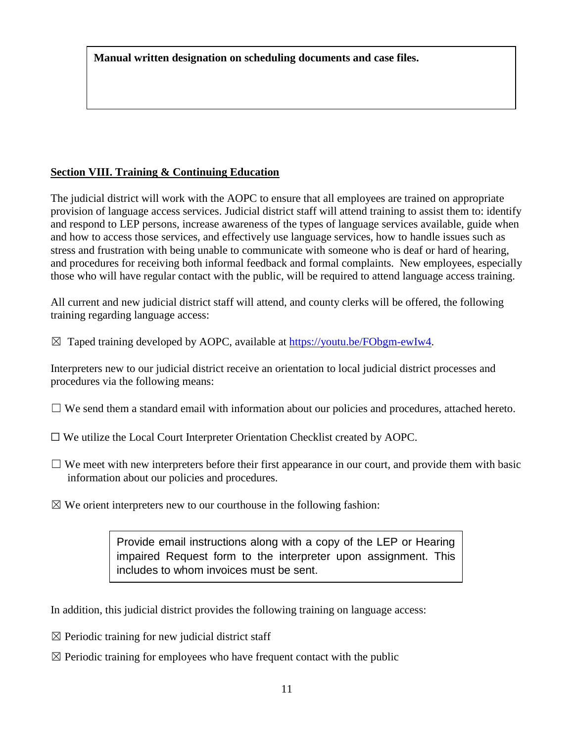**Manual written designation on scheduling documents and case files.**

# **Section VIII. Training & Continuing Education**

The judicial district will work with the AOPC to ensure that all employees are trained on appropriate provision of language access services. Judicial district staff will attend training to assist them to: identify and respond to LEP persons, increase awareness of the types of language services available, guide when and how to access those services, and effectively use language services, how to handle issues such as stress and frustration with being unable to communicate with someone who is deaf or hard of hearing, and procedures for receiving both informal feedback and formal complaints. New employees, especially those who will have regular contact with the public, will be required to attend language access training.

All current and new judicial district staff will attend, and county clerks will be offered, the following training regarding language access:

 $\boxtimes$  Taped training developed by AOPC, available at [https://youtu.be/FObgm-ewIw4.](https://youtu.be/FObgm-ewIw4)

Interpreters new to our judicial district receive an orientation to local judicial district processes and procedures via the following means:

- $\Box$  We send them a standard email with information about our policies and procedures, attached hereto.
- ☐ We utilize the Local Court Interpreter Orientation Checklist created by AOPC.
- $\Box$  We meet with new interpreters before their first appearance in our court, and provide them with basic information about our policies and procedures.
- $\boxtimes$  We orient interpreters new to our courthouse in the following fashion:

Provide email instructions along with a copy of the LEP or Hearing impaired Request form to the interpreter upon assignment. This includes to whom invoices must be sent.

In addition, this judicial district provides the following training on language access:

- $\boxtimes$  Periodic training for new judicial district staff
- $\boxtimes$  Periodic training for employees who have frequent contact with the public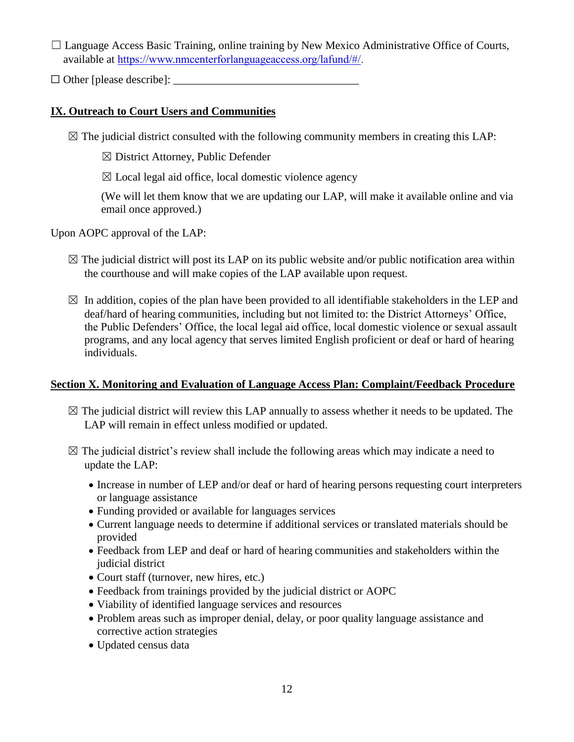$\Box$  Language Access Basic Training, online training by New Mexico Administrative Office of Courts, available at [https://www.nmcenterforlanguageaccess.org/lafund/#/.](https://www.nmcenterforlanguageaccess.org/lafund/)

 $\Box$  Other [please describe]:

# **IX. Outreach to Court Users and Communities**

 $\boxtimes$  The judicial district consulted with the following community members in creating this LAP:

 $\boxtimes$  District Attorney, Public Defender

 $\boxtimes$  Local legal aid office, local domestic violence agency

(We will let them know that we are updating our LAP, will make it available online and via email once approved.)

Upon AOPC approval of the LAP:

- $\boxtimes$  The judicial district will post its LAP on its public website and/or public notification area within the courthouse and will make copies of the LAP available upon request.
- $\boxtimes$  In addition, copies of the plan have been provided to all identifiable stakeholders in the LEP and deaf/hard of hearing communities, including but not limited to: the District Attorneys' Office, the Public Defenders' Office, the local legal aid office, local domestic violence or sexual assault programs, and any local agency that serves limited English proficient or deaf or hard of hearing individuals.

# **Section X. Monitoring and Evaluation of Language Access Plan: Complaint/Feedback Procedure**

- $\boxtimes$  The judicial district will review this LAP annually to assess whether it needs to be updated. The LAP will remain in effect unless modified or updated.
- $\boxtimes$  The judicial district's review shall include the following areas which may indicate a need to update the LAP:
	- Increase in number of LEP and/or deaf or hard of hearing persons requesting court interpreters or language assistance
	- Funding provided or available for languages services
	- Current language needs to determine if additional services or translated materials should be provided
	- Feedback from LEP and deaf or hard of hearing communities and stakeholders within the judicial district
	- Court staff (turnover, new hires, etc.)
	- Feedback from trainings provided by the judicial district or AOPC
	- Viability of identified language services and resources
	- Problem areas such as improper denial, delay, or poor quality language assistance and corrective action strategies
	- Updated census data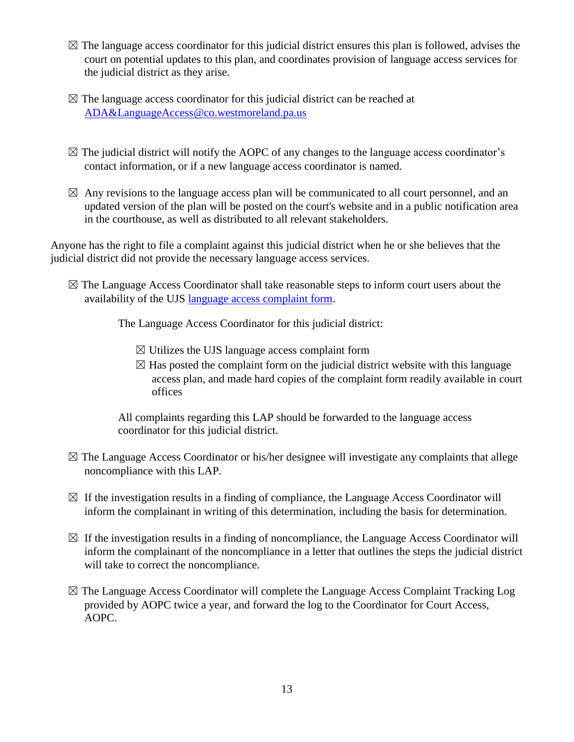- $\boxtimes$  The language access coordinator for this judicial district ensures this plan is followed, advises the court on potential updates to this plan, and coordinates provision of language access services for the judicial district as they arise.
- $\boxtimes$  The language access coordinator for this judicial district can be reached at [ADA&LanguageAccess@co.westmoreland.pa.us](mailto:ADA&LanguageAccess@co.westmoreland.pa.us)
- $\boxtimes$  The judicial district will notify the AOPC of any changes to the language access coordinator's contact information, or if a new language access coordinator is named.
- $\boxtimes$  Any revisions to the language access plan will be communicated to all court personnel, and an updated version of the plan will be posted on the court's website and in a public notification area in the courthouse, as well as distributed to all relevant stakeholders.

Anyone has the right to file a complaint against this judicial district when he or she believes that the judicial district did not provide the necessary language access services.

 $\boxtimes$  The Language Access Coordinator shall take reasonable steps to inform court users about the availability of the UJS [language access complaint form.](https://wwwsecure.pacourts.us/assets/files/setting-6453/file-7497.pdf?cb=a60c80)

The Language Access Coordinator for this judicial district:

- $\boxtimes$  Utilizes the UJS language access [complaint form](http://www.pacourts.us/assets/files/setting-6453/file-7497.pdf?cb=a60c80)
- $\boxtimes$  Has posted the complaint form on the judicial district website with this language access plan, and made hard copies of the complaint form readily available in court offices

All complaints regarding this LAP should be forwarded to the language access coordinator for this judicial district.

- $\boxtimes$  The Language Access Coordinator or his/her designee will investigate any complaints that allege noncompliance with this LAP.
- $\boxtimes$  If the investigation results in a finding of compliance, the Language Access Coordinator will inform the complainant in writing of this determination, including the basis for determination.
- $\boxtimes$  If the investigation results in a finding of noncompliance, the Language Access Coordinator will inform the complainant of the noncompliance in a letter that outlines the steps the judicial district will take to correct the noncompliance.
- ☒ The Language Access Coordinator will complete the Language Access Complaint Tracking Log provided by AOPC twice a year, and forward the log to the Coordinator for Court Access, AOPC.